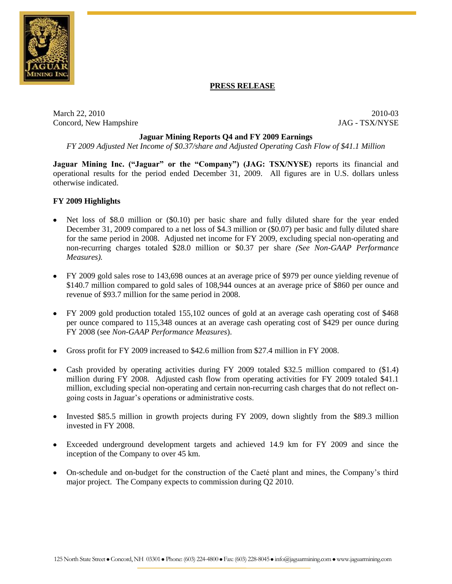

### **PRESS RELEASE**

March 22, 2010 2010-03 Concord, New Hampshire JAG - TSX/NYSE

### **Jaguar Mining Reports Q4 and FY 2009 Earnings**

*FY 2009 Adjusted Net Income of \$0.37/share and Adjusted Operating Cash Flow of \$41.1 Million*

**Jaguar Mining Inc. ("Jaguar" or the "Company") (JAG: TSX/NYSE)** reports its financial and operational results for the period ended December 31, 2009. All figures are in U.S. dollars unless otherwise indicated.

### **FY 2009 Highlights**

- Net loss of \$8.0 million or (\$0.10) per basic share and fully diluted share for the year ended December 31, 2009 compared to a net loss of \$4.3 million or (\$0.07) per basic and fully diluted share for the same period in 2008. Adjusted net income for FY 2009, excluding special non-operating and non-recurring charges totaled \$28.0 million or \$0.37 per share *(See Non-GAAP Performance Measures).*
- FY 2009 gold sales rose to 143,698 ounces at an average price of \$979 per ounce yielding revenue of \$140.7 million compared to gold sales of 108,944 ounces at an average price of \$860 per ounce and revenue of \$93.7 million for the same period in 2008.
- FY 2009 gold production totaled 155,102 ounces of gold at an average cash operating cost of \$468 per ounce compared to 115,348 ounces at an average cash operating cost of \$429 per ounce during FY 2008 (see *Non-GAAP Performance Measures*).
- Gross profit for FY 2009 increased to \$42.6 million from \$27.4 million in FY 2008.
- Cash provided by operating activities during FY 2009 totaled \$32.5 million compared to (\$1.4) million during FY 2008. Adjusted cash flow from operating activities for FY 2009 totaled \$41.1 million, excluding special non-operating and certain non-recurring cash charges that do not reflect ongoing costs in Jaguar's operations or administrative costs.
- Invested \$85.5 million in growth projects during FY 2009, down slightly from the \$89.3 million invested in FY 2008.
- Exceeded underground development targets and achieved 14.9 km for FY 2009 and since the inception of the Company to over 45 km.
- On-schedule and on-budget for the construction of the Caeté plant and mines, the Company's third major project. The Company expects to commission during Q2 2010.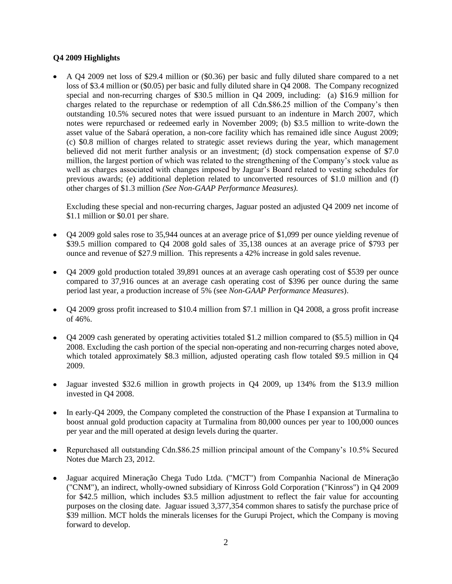### **Q4 2009 Highlights**

A Q4 2009 net loss of \$29.4 million or (\$0.36) per basic and fully diluted share compared to a net loss of \$3.4 million or (\$0.05) per basic and fully diluted share in Q4 2008. The Company recognized special and non-recurring charges of \$30.5 million in Q4 2009, including: (a) \$16.9 million for charges related to the repurchase or redemption of all Cdn.\$86.25 million of the Company's then outstanding 10.5% secured notes that were issued pursuant to an indenture in March 2007, which notes were repurchased or redeemed early in November 2009; (b) \$3.5 million to write-down the asset value of the Sabará operation, a non-core facility which has remained idle since August 2009; (c) \$0.8 million of charges related to strategic asset reviews during the year, which management believed did not merit further analysis or an investment; (d) stock compensation expense of \$7.0 million, the largest portion of which was related to the strengthening of the Company's stock value as well as charges associated with changes imposed by Jaguar's Board related to vesting schedules for previous awards; (e) additional depletion related to unconverted resources of \$1.0 million and (f) other charges of \$1.3 million *(See Non-GAAP Performance Measures).*

Excluding these special and non-recurring charges, Jaguar posted an adjusted Q4 2009 net income of \$1.1 million or \$0.01 per share.

- Q4 2009 gold sales rose to 35,944 ounces at an average price of \$1,099 per ounce yielding revenue of \$39.5 million compared to Q4 2008 gold sales of 35,138 ounces at an average price of \$793 per ounce and revenue of \$27.9 million. This represents a 42% increase in gold sales revenue.
- Q4 2009 gold production totaled 39,891 ounces at an average cash operating cost of \$539 per ounce compared to 37,916 ounces at an average cash operating cost of \$396 per ounce during the same period last year, a production increase of 5% (see *Non-GAAP Performance Measures*).
- Q4 2009 gross profit increased to \$10.4 million from \$7.1 million in Q4 2008, a gross profit increase of 46%.
- Q4 2009 cash generated by operating activities totaled \$1.2 million compared to (\$5.5) million in Q4 2008. Excluding the cash portion of the special non-operating and non-recurring charges noted above, which totaled approximately \$8.3 million, adjusted operating cash flow totaled \$9.5 million in Q4 2009.
- $\bullet$ Jaguar invested \$32.6 million in growth projects in Q4 2009, up 134% from the \$13.9 million invested in Q4 2008.
- In early-Q4 2009, the Company completed the construction of the Phase I expansion at Turmalina to boost annual gold production capacity at Turmalina from 80,000 ounces per year to 100,000 ounces per year and the mill operated at design levels during the quarter.
- Repurchased all outstanding Cdn.\$86.25 million principal amount of the Company's 10.5% Secured  $\bullet$ Notes due March 23, 2012.
- Jaguar acquired Mineração Chega Tudo Ltda. ("MCT") from Companhia Nacional de Mineração ("CNM"), an indirect, wholly-owned subsidiary of Kinross Gold Corporation ("Kinross") in Q4 2009 for \$42.5 million, which includes \$3.5 million adjustment to reflect the fair value for accounting purposes on the closing date. Jaguar issued 3,377,354 common shares to satisfy the purchase price of \$39 million. MCT holds the minerals licenses for the Gurupi Project, which the Company is moving forward to develop.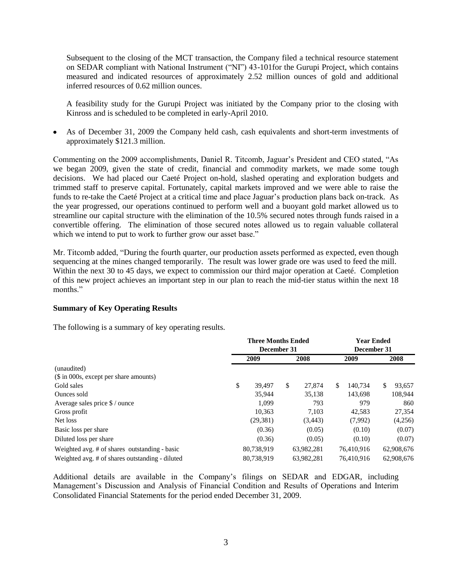Subsequent to the closing of the MCT transaction, the Company filed a technical resource statement on SEDAR compliant with National Instrument ("NI") 43-101for the Gurupi Project, which contains measured and indicated resources of approximately 2.52 million ounces of gold and additional inferred resources of 0.62 million ounces.

A feasibility study for the Gurupi Project was initiated by the Company prior to the closing with Kinross and is scheduled to be completed in early-April 2010.

As of December 31, 2009 the Company held cash, cash equivalents and short-term investments of approximately \$121.3 million.

Commenting on the 2009 accomplishments, Daniel R. Titcomb, Jaguar's President and CEO stated, "As we began 2009, given the state of credit, financial and commodity markets, we made some tough decisions. We had placed our Caeté Project on-hold, slashed operating and exploration budgets and trimmed staff to preserve capital. Fortunately, capital markets improved and we were able to raise the funds to re-take the Caeté Project at a critical time and place Jaguar's production plans back on-track. As the year progressed, our operations continued to perform well and a buoyant gold market allowed us to streamline our capital structure with the elimination of the 10.5% secured notes through funds raised in a convertible offering. The elimination of those secured notes allowed us to regain valuable collateral which we intend to put to work to further grow our asset base."

Mr. Titcomb added, "During the fourth quarter, our production assets performed as expected, even though sequencing at the mines changed temporarily. The result was lower grade ore was used to feed the mill. Within the next 30 to 45 days, we expect to commission our third major operation at Caeté. Completion of this new project achieves an important step in our plan to reach the mid-tier status within the next 18 months."

### **Summary of Key Operating Results**

The following is a summary of key operating results.

|                                                 | <b>Three Months Ended</b><br>December 31 |            |    | <b>Year Ended</b><br>December 31 |     |            |    |            |
|-------------------------------------------------|------------------------------------------|------------|----|----------------------------------|-----|------------|----|------------|
|                                                 |                                          | 2009       |    | 2008                             |     | 2009       |    | 2008       |
| (unaudited)                                     |                                          |            |    |                                  |     |            |    |            |
| (\$ in 000s, except per share amounts)          |                                          |            |    |                                  |     |            |    |            |
| Gold sales                                      | \$                                       | 39.497     | \$ | 27,874                           | \$. | 140.734    | \$ | 93.657     |
| Ounces sold                                     |                                          | 35,944     |    | 35,138                           |     | 143.698    |    | 108,944    |
| Average sales price \$ / ounce                  |                                          | 1.099      |    | 793                              |     | 979        |    | 860        |
| Gross profit                                    |                                          | 10,363     |    | 7.103                            |     | 42,583     |    | 27,354     |
| Net loss                                        |                                          | (29, 381)  |    | (3, 443)                         |     | (7,992)    |    | (4,256)    |
| Basic loss per share                            |                                          | (0.36)     |    | (0.05)                           |     | (0.10)     |    | (0.07)     |
| Diluted loss per share                          |                                          | (0.36)     |    | (0.05)                           |     | (0.10)     |    | (0.07)     |
| Weighted avg. # of shares outstanding - basic   |                                          | 80,738,919 |    | 63,982,281                       |     | 76,410,916 |    | 62,908,676 |
| Weighted avg. # of shares outstanding - diluted |                                          | 80.738.919 |    | 63,982,281                       |     | 76.410.916 |    | 62,908,676 |

Additional details are available in the Company's filings on SEDAR and EDGAR, including Management's Discussion and Analysis of Financial Condition and Results of Operations and Interim Consolidated Financial Statements for the period ended December 31, 2009.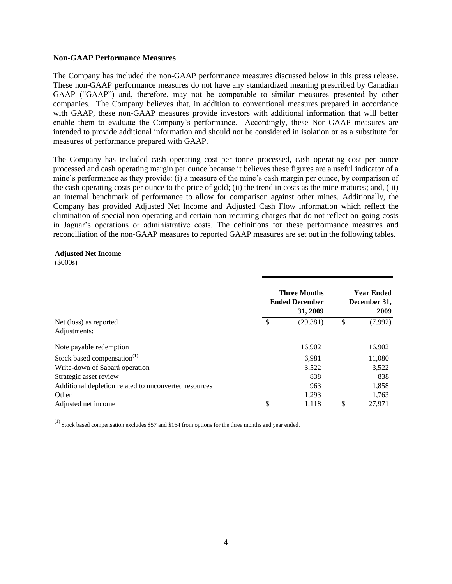#### **Non-GAAP Performance Measures**

The Company has included the non-GAAP performance measures discussed below in this press release. These non-GAAP performance measures do not have any standardized meaning prescribed by Canadian GAAP ("GAAP") and, therefore, may not be comparable to similar measures presented by other companies. The Company believes that, in addition to conventional measures prepared in accordance with GAAP, these non-GAAP measures provide investors with additional information that will better enable them to evaluate the Company's performance. Accordingly, these Non-GAAP measures are intended to provide additional information and should not be considered in isolation or as a substitute for measures of performance prepared with GAAP.

The Company has included cash operating cost per tonne processed, cash operating cost per ounce processed and cash operating margin per ounce because it believes these figures are a useful indicator of a mine's performance as they provide: (i) a measure of the mine's cash margin per ounce, by comparison of the cash operating costs per ounce to the price of gold; (ii) the trend in costs as the mine matures; and, (iii) an internal benchmark of performance to allow for comparison against other mines. Additionally, the Company has provided Adjusted Net Income and Adjusted Cash Flow information which reflect the elimination of special non-operating and certain non-recurring charges that do not reflect on-going costs in Jaguar's operations or administrative costs. The definitions for these performance measures and reconciliation of the non-GAAP measures to reported GAAP measures are set out in the following tables.

### **Adjusted Net Income**

(\$000s)

|                                                       |     | <b>Three Months</b><br><b>Ended December</b><br>31, 2009 | <b>Year Ended</b><br>December 31,<br>2009 |
|-------------------------------------------------------|-----|----------------------------------------------------------|-------------------------------------------|
| Net (loss) as reported                                | -\$ | (29, 381)                                                | \$<br>(7,992)                             |
| Adjustments:                                          |     |                                                          |                                           |
| Note payable redemption                               |     | 16,902                                                   | 16,902                                    |
| Stock based compensation <sup>(1)</sup>               |     | 6.981                                                    | 11,080                                    |
| Write-down of Sabará operation                        |     | 3,522                                                    | 3,522                                     |
| Strategic asset review                                |     | 838                                                      | 838                                       |
| Additional depletion related to unconverted resources |     | 963                                                      | 1,858                                     |
| Other                                                 |     | 1,293                                                    | 1.763                                     |
| Adjusted net income                                   | \$  | 1,118                                                    | \$<br>27,971                              |

 $<sup>(1)</sup>$  Stock based compensation excludes \$57 and \$164 from options for the three months and year ended.</sup>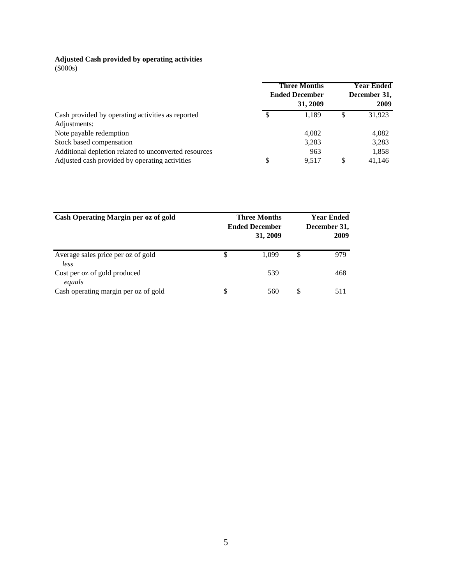### **Adjusted Cash provided by operating activities**

(\$000s)

|                                                                   |    | <b>Three Months</b><br><b>Ended December</b><br>31, 2009 | <b>Year Ended</b><br>December 31,<br>2009 |
|-------------------------------------------------------------------|----|----------------------------------------------------------|-------------------------------------------|
| Cash provided by operating activities as reported<br>Adjustments: | S  | 1.189                                                    | \$<br>31,923                              |
| Note payable redemption                                           |    | 4.082                                                    | 4,082                                     |
| Stock based compensation                                          |    | 3,283                                                    | 3,283                                     |
| Additional depletion related to unconverted resources             |    | 963                                                      | 1,858                                     |
| Adjusted cash provided by operating activities                    | \$ | 9.517                                                    | \$<br>41,146                              |

| Cash Operating Margin per oz of gold       |    | <b>Three Months</b><br><b>Ended December</b><br>31, 2009 |    | <b>Year Ended</b><br>December 31,<br>2009 |
|--------------------------------------------|----|----------------------------------------------------------|----|-------------------------------------------|
| Average sales price per oz of gold<br>less | \$ | 1.099                                                    | \$ | 979                                       |
| Cost per oz of gold produced<br>equals     |    | 539                                                      |    | 468                                       |
| Cash operating margin per oz of gold       | S  | 560                                                      | S  | 511                                       |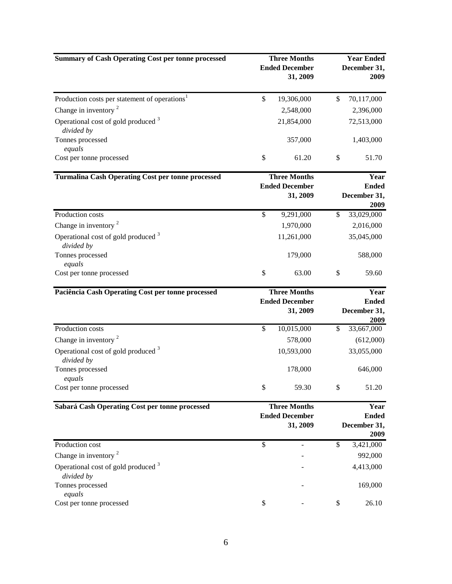| <b>Summary of Cash Operating Cost per tonne processed</b>    |                                                          | <b>Three Months</b><br><b>Ended December</b><br>31, 2009 | <b>Year Ended</b><br>December 31,<br>2009    |
|--------------------------------------------------------------|----------------------------------------------------------|----------------------------------------------------------|----------------------------------------------|
| Production costs per statement of operations <sup>1</sup>    | $\mathbb{S}$                                             | 19,306,000                                               | \$<br>70,117,000                             |
| Change in inventory $2$                                      |                                                          | 2,548,000                                                | 2,396,000                                    |
| Operational cost of gold produced <sup>3</sup><br>divided by |                                                          | 21,854,000                                               | 72,513,000                                   |
| Tonnes processed<br>equals                                   |                                                          | 357,000                                                  | 1,403,000                                    |
| Cost per tonne processed                                     | \$                                                       | 61.20                                                    | \$<br>51.70                                  |
| <b>Turmalina Cash Operating Cost per tonne processed</b>     |                                                          | <b>Three Months</b><br><b>Ended December</b><br>31, 2009 | Year<br><b>Ended</b><br>December 31,         |
|                                                              |                                                          |                                                          | 2009                                         |
| Production costs                                             | \$                                                       | 9,291,000                                                | \$<br>33,029,000                             |
| Change in inventory $2$                                      |                                                          | 1,970,000                                                | 2,016,000                                    |
| Operational cost of gold produced <sup>3</sup><br>divided by |                                                          | 11,261,000                                               | 35,045,000                                   |
| Tonnes processed<br>equals                                   |                                                          | 179,000                                                  | 588,000                                      |
| Cost per tonne processed                                     | \$                                                       | 63.00                                                    | \$<br>59.60                                  |
| Paciência Cash Operating Cost per tonne processed            |                                                          | <b>Three Months</b>                                      | Year                                         |
|                                                              |                                                          | <b>Ended December</b><br>31, 2009                        | <b>Ended</b><br>December 31,<br>2009         |
| Production costs                                             | \$                                                       | 10,015,000                                               | \$<br>33,667,000                             |
| Change in inventory $2$                                      |                                                          | 578,000                                                  | (612,000)                                    |
| Operational cost of gold produced <sup>3</sup><br>divided by |                                                          | 10,593,000                                               | 33,055,000                                   |
| Tonnes processed<br>equals                                   |                                                          | 178,000                                                  | 646,000                                      |
| Cost per tonne processed                                     | \$                                                       | 59.30                                                    | \$<br>51.20                                  |
| Sabará Cash Operating Cost per tonne processed               | <b>Three Months</b><br><b>Ended December</b><br>31, 2009 |                                                          | Year<br><b>Ended</b><br>December 31,<br>2009 |
| Production cost                                              | \$                                                       |                                                          | \$<br>3,421,000                              |
| Change in inventory $2$                                      |                                                          |                                                          | 992,000                                      |
| Operational cost of gold produced <sup>3</sup><br>divided by |                                                          |                                                          | 4,413,000                                    |
| Tonnes processed<br>equals                                   |                                                          |                                                          | 169,000                                      |
| Cost per tonne processed                                     | \$                                                       |                                                          | \$<br>26.10                                  |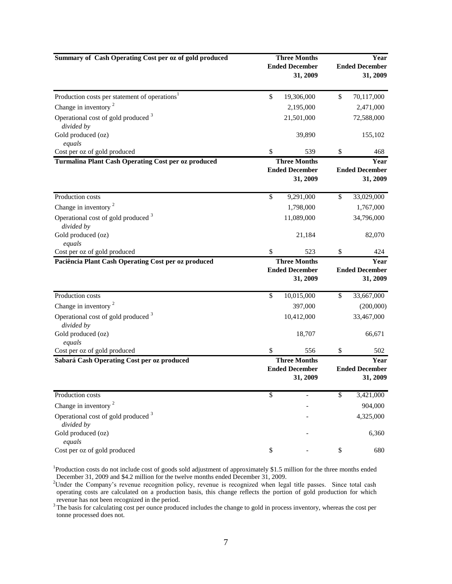| Summary of Cash Operating Cost per oz of gold produced       | <b>Three Months</b><br><b>Ended December</b><br>31, 2009 | Year<br><b>Ended December</b><br>31, 2009 |                                           |  |
|--------------------------------------------------------------|----------------------------------------------------------|-------------------------------------------|-------------------------------------------|--|
| Production costs per statement of operations <sup>1</sup>    | \$<br>19,306,000                                         | \$                                        | 70,117,000                                |  |
| Change in inventory <sup>2</sup>                             | 2,195,000                                                |                                           | 2,471,000                                 |  |
| Operational cost of gold produced <sup>3</sup><br>divided by | 21,501,000                                               |                                           | 72,588,000                                |  |
| Gold produced (oz)<br>equals                                 | 39,890                                                   |                                           | 155,102                                   |  |
| Cost per oz of gold produced                                 | \$<br>539                                                | \$                                        | 468                                       |  |
| Turmalina Plant Cash Operating Cost per oz produced          | <b>Three Months</b><br><b>Ended December</b><br>31, 2009 |                                           | Year<br><b>Ended December</b><br>31, 2009 |  |
| Production costs                                             | \$<br>9,291,000                                          | \$                                        | 33,029,000                                |  |
| Change in inventory $2$                                      | 1,798,000                                                |                                           | 1,767,000                                 |  |
| Operational cost of gold produced <sup>3</sup><br>divided by | 11,089,000                                               |                                           | 34,796,000                                |  |
| Gold produced (oz)<br>equals                                 | 21,184                                                   |                                           | 82,070                                    |  |
| Cost per oz of gold produced                                 | \$<br>523                                                | \$                                        | 424                                       |  |
| Paciência Plant Cash Operating Cost per oz produced          | <b>Three Months</b><br><b>Ended December</b><br>31, 2009 |                                           | Year<br><b>Ended December</b><br>31, 2009 |  |
| Production costs                                             | \$<br>10,015,000                                         | \$                                        | 33,667,000                                |  |
| Change in inventory <sup>2</sup>                             | 397,000                                                  |                                           | (200,000)                                 |  |
| Operational cost of gold produced <sup>3</sup><br>divided by | 10,412,000                                               |                                           | 33,467,000                                |  |
| Gold produced (oz)<br>equals                                 | 18,707                                                   |                                           | 66,671                                    |  |
| Cost per oz of gold produced                                 | \$<br>556                                                | \$                                        | 502                                       |  |
| Sabará Cash Operating Cost per oz produced                   | <b>Three Months</b><br><b>Ended December</b><br>31, 2009 |                                           | Year<br><b>Ended December</b><br>31, 2009 |  |
| Production costs                                             | \$                                                       | \$                                        | 3,421,000                                 |  |
| Change in inventory <sup>2</sup>                             |                                                          |                                           | 904,000                                   |  |
| Operational cost of gold produced <sup>3</sup><br>divided by |                                                          |                                           | 4,325,000                                 |  |
| Gold produced (oz)<br>equals                                 |                                                          |                                           | 6,360                                     |  |
| Cost per oz of gold produced                                 | \$                                                       | \$                                        | 680                                       |  |

<sup>1</sup>Production costs do not include cost of goods sold adjustment of approximately \$1.5 million for the three months ended December 31, 2009 and \$4.2 million for the twelve months ended December 31, 2009.

<sup>2</sup>Under the Company's revenue recognition policy, revenue is recognized when legal title passes. Since total cash operating costs are calculated on a production basis, this change reflects the portion of gold production for which revenue has not been recognized in the period.

<sup>3</sup> The basis for calculating cost per ounce produced includes the change to gold in process inventory, whereas the cost per tonne processed does not.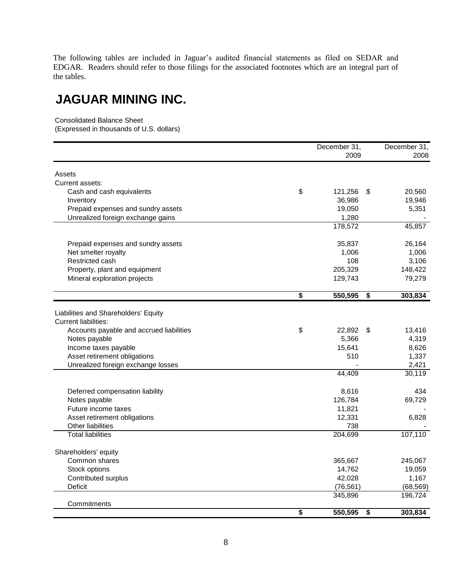The following tables are included in Jaguar's audited financial statements as filed on SEDAR and EDGAR. Readers should refer to those filings for the associated footnotes which are an integral part of the tables.

## **JAGUAR MINING INC.**

Consolidated Balance Sheet

(Expressed in thousands of U.S. dollars)

| 2009<br>2008<br>Assets<br>Current assets:<br>\$<br>121,256<br>20,560<br>Cash and cash equivalents<br>\$<br>19,946<br>36,986<br>Inventory<br>5,351<br>Prepaid expenses and sundry assets<br>19,050<br>Unrealized foreign exchange gains<br>1,280<br>45,857<br>178,572<br>Prepaid expenses and sundry assets<br>35,837<br>26,164<br>Net smelter royalty<br>1,006<br>1,006<br>3,106<br>Restricted cash<br>108<br>205,329<br>148,422<br>Property, plant and equipment<br>Mineral exploration projects<br>129,743<br>79,279<br>\$<br>550,595<br>$\overline{\boldsymbol{\mathsf{s}}}$<br>303,834<br>Liabilities and Shareholders' Equity<br><b>Current liabilities:</b><br>\$<br>Accounts payable and accrued liabilities<br>22,892<br>\$<br>13,416<br>5,366<br>4,319<br>Notes payable<br>8,626<br>Income taxes payable<br>15,641<br>Asset retirement obligations<br>510<br>1,337<br>2,421<br>Unrealized foreign exchange losses<br>44,409<br>30,119<br>Deferred compensation liability<br>8,616<br>434<br>Notes payable<br>126,784<br>69,729 |
|-----------------------------------------------------------------------------------------------------------------------------------------------------------------------------------------------------------------------------------------------------------------------------------------------------------------------------------------------------------------------------------------------------------------------------------------------------------------------------------------------------------------------------------------------------------------------------------------------------------------------------------------------------------------------------------------------------------------------------------------------------------------------------------------------------------------------------------------------------------------------------------------------------------------------------------------------------------------------------------------------------------------------------------------|
|                                                                                                                                                                                                                                                                                                                                                                                                                                                                                                                                                                                                                                                                                                                                                                                                                                                                                                                                                                                                                                         |
|                                                                                                                                                                                                                                                                                                                                                                                                                                                                                                                                                                                                                                                                                                                                                                                                                                                                                                                                                                                                                                         |
|                                                                                                                                                                                                                                                                                                                                                                                                                                                                                                                                                                                                                                                                                                                                                                                                                                                                                                                                                                                                                                         |
|                                                                                                                                                                                                                                                                                                                                                                                                                                                                                                                                                                                                                                                                                                                                                                                                                                                                                                                                                                                                                                         |
|                                                                                                                                                                                                                                                                                                                                                                                                                                                                                                                                                                                                                                                                                                                                                                                                                                                                                                                                                                                                                                         |
|                                                                                                                                                                                                                                                                                                                                                                                                                                                                                                                                                                                                                                                                                                                                                                                                                                                                                                                                                                                                                                         |
|                                                                                                                                                                                                                                                                                                                                                                                                                                                                                                                                                                                                                                                                                                                                                                                                                                                                                                                                                                                                                                         |
|                                                                                                                                                                                                                                                                                                                                                                                                                                                                                                                                                                                                                                                                                                                                                                                                                                                                                                                                                                                                                                         |
|                                                                                                                                                                                                                                                                                                                                                                                                                                                                                                                                                                                                                                                                                                                                                                                                                                                                                                                                                                                                                                         |
|                                                                                                                                                                                                                                                                                                                                                                                                                                                                                                                                                                                                                                                                                                                                                                                                                                                                                                                                                                                                                                         |
|                                                                                                                                                                                                                                                                                                                                                                                                                                                                                                                                                                                                                                                                                                                                                                                                                                                                                                                                                                                                                                         |
|                                                                                                                                                                                                                                                                                                                                                                                                                                                                                                                                                                                                                                                                                                                                                                                                                                                                                                                                                                                                                                         |
|                                                                                                                                                                                                                                                                                                                                                                                                                                                                                                                                                                                                                                                                                                                                                                                                                                                                                                                                                                                                                                         |
|                                                                                                                                                                                                                                                                                                                                                                                                                                                                                                                                                                                                                                                                                                                                                                                                                                                                                                                                                                                                                                         |
|                                                                                                                                                                                                                                                                                                                                                                                                                                                                                                                                                                                                                                                                                                                                                                                                                                                                                                                                                                                                                                         |
|                                                                                                                                                                                                                                                                                                                                                                                                                                                                                                                                                                                                                                                                                                                                                                                                                                                                                                                                                                                                                                         |
|                                                                                                                                                                                                                                                                                                                                                                                                                                                                                                                                                                                                                                                                                                                                                                                                                                                                                                                                                                                                                                         |
|                                                                                                                                                                                                                                                                                                                                                                                                                                                                                                                                                                                                                                                                                                                                                                                                                                                                                                                                                                                                                                         |
|                                                                                                                                                                                                                                                                                                                                                                                                                                                                                                                                                                                                                                                                                                                                                                                                                                                                                                                                                                                                                                         |
|                                                                                                                                                                                                                                                                                                                                                                                                                                                                                                                                                                                                                                                                                                                                                                                                                                                                                                                                                                                                                                         |
|                                                                                                                                                                                                                                                                                                                                                                                                                                                                                                                                                                                                                                                                                                                                                                                                                                                                                                                                                                                                                                         |
|                                                                                                                                                                                                                                                                                                                                                                                                                                                                                                                                                                                                                                                                                                                                                                                                                                                                                                                                                                                                                                         |
|                                                                                                                                                                                                                                                                                                                                                                                                                                                                                                                                                                                                                                                                                                                                                                                                                                                                                                                                                                                                                                         |
|                                                                                                                                                                                                                                                                                                                                                                                                                                                                                                                                                                                                                                                                                                                                                                                                                                                                                                                                                                                                                                         |
| Future income taxes<br>11,821                                                                                                                                                                                                                                                                                                                                                                                                                                                                                                                                                                                                                                                                                                                                                                                                                                                                                                                                                                                                           |
| 12,331<br>6,828<br>Asset retirement obligations                                                                                                                                                                                                                                                                                                                                                                                                                                                                                                                                                                                                                                                                                                                                                                                                                                                                                                                                                                                         |
| 738<br>Other liabilities                                                                                                                                                                                                                                                                                                                                                                                                                                                                                                                                                                                                                                                                                                                                                                                                                                                                                                                                                                                                                |
| 107,110<br>204,699<br><b>Total liabilities</b>                                                                                                                                                                                                                                                                                                                                                                                                                                                                                                                                                                                                                                                                                                                                                                                                                                                                                                                                                                                          |
| Shareholders' equity                                                                                                                                                                                                                                                                                                                                                                                                                                                                                                                                                                                                                                                                                                                                                                                                                                                                                                                                                                                                                    |
| Common shares<br>365,667<br>245,067                                                                                                                                                                                                                                                                                                                                                                                                                                                                                                                                                                                                                                                                                                                                                                                                                                                                                                                                                                                                     |
| Stock options<br>14,762<br>19,059                                                                                                                                                                                                                                                                                                                                                                                                                                                                                                                                                                                                                                                                                                                                                                                                                                                                                                                                                                                                       |
| Contributed surplus<br>42,028<br>1,167                                                                                                                                                                                                                                                                                                                                                                                                                                                                                                                                                                                                                                                                                                                                                                                                                                                                                                                                                                                                  |
| (76, 561)<br><b>Deficit</b><br>(68, 569)                                                                                                                                                                                                                                                                                                                                                                                                                                                                                                                                                                                                                                                                                                                                                                                                                                                                                                                                                                                                |
| 345,896<br>196,724                                                                                                                                                                                                                                                                                                                                                                                                                                                                                                                                                                                                                                                                                                                                                                                                                                                                                                                                                                                                                      |
| Commitments<br>$\overline{\boldsymbol{\mathsf{s}}}$<br>550,595<br>303,834<br>$\overline{\boldsymbol{\mathsf{s}}}$                                                                                                                                                                                                                                                                                                                                                                                                                                                                                                                                                                                                                                                                                                                                                                                                                                                                                                                       |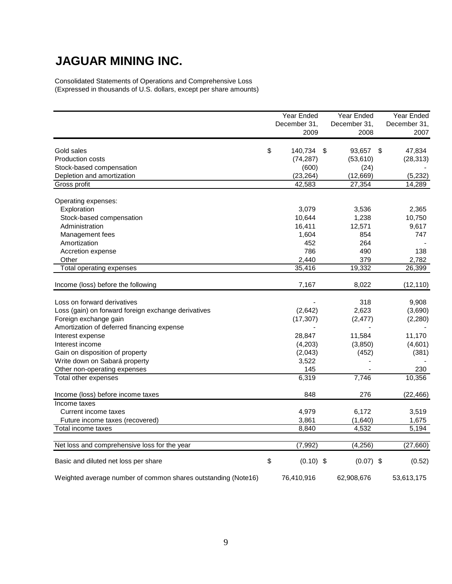# **JAGUAR MINING INC.**

Consolidated Statements of Operations and Comprehensive Loss (Expressed in thousands of U.S. dollars, except per share amounts)

|                                                               | Year Ended        | Year Ended      | Year Ended   |
|---------------------------------------------------------------|-------------------|-----------------|--------------|
|                                                               | December 31,      | December 31,    | December 31, |
|                                                               | 2009              | 2008            | 2007         |
| Gold sales                                                    | \$<br>140,734     | \$<br>93,657 \$ | 47,834       |
| <b>Production costs</b>                                       | (74, 287)         | (53, 610)       | (28, 313)    |
| Stock-based compensation                                      | (600)             | (24)            |              |
| Depletion and amortization                                    | (23, 264)         | (12, 669)       | (5,232)      |
| Gross profit                                                  | 42,583            | 27,354          | 14,289       |
| Operating expenses:                                           |                   |                 |              |
| Exploration                                                   | 3,079             | 3,536           | 2,365        |
| Stock-based compensation                                      | 10,644            | 1,238           | 10,750       |
| Administration                                                | 16,411            | 12,571          | 9,617        |
| Management fees                                               | 1,604             | 854             | 747          |
| Amortization                                                  | 452               | 264             |              |
| Accretion expense                                             | 786               | 490             | 138          |
| Other                                                         | 2,440             | 379             | 2,782        |
| Total operating expenses                                      | 35,416            | 19,332          | 26,399       |
| Income (loss) before the following                            | 7,167             | 8,022           | (12, 110)    |
| Loss on forward derivatives                                   |                   | 318             | 9,908        |
| Loss (gain) on forward foreign exchange derivatives           | (2,642)           | 2,623           | (3,690)      |
| Foreign exchange gain                                         | (17, 307)         | (2, 477)        | (2,280)      |
| Amortization of deferred financing expense                    |                   |                 |              |
| Interest expense                                              | 28,847            | 11,584          | 11,170       |
| Interest income                                               | (4,203)           | (3,850)         | (4,601)      |
| Gain on disposition of property                               | (2,043)           | (452)           | (381)        |
| Write down on Sabará property                                 | 3,522             |                 |              |
| Other non-operating expenses                                  | 145               |                 | 230          |
| Total other expenses                                          | 6,319             | 7,746           | 10,356       |
| Income (loss) before income taxes                             | 848               | 276             | (22, 466)    |
| Income taxes                                                  |                   |                 |              |
| Current income taxes                                          | 4,979             | 6,172           | 3,519        |
| Future income taxes (recovered)                               | 3,861             | (1,640)         | 1,675        |
| Total income taxes                                            | 8,840             | 4,532           | 5,194        |
| Net loss and comprehensive loss for the year                  | (7, 992)          | (4, 256)        | (27,660)     |
| Basic and diluted net loss per share                          | \$<br>$(0.10)$ \$ | $(0.07)$ \$     | (0.52)       |
| Weighted average number of common shares outstanding (Note16) | 76,410,916        | 62,908,676      | 53,613,175   |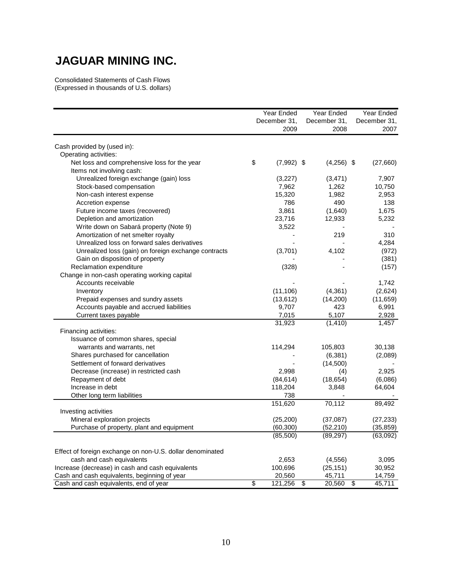### **JAGUAR MINING INC.**

Consolidated Statements of Cash Flows (Expressed in thousands of U.S. dollars)

|                                                           | Year Ended<br>December 31, | Year Ended<br>December 31, | Year Ended<br>December 31, |
|-----------------------------------------------------------|----------------------------|----------------------------|----------------------------|
|                                                           | 2009                       | 2008                       | 2007                       |
| Cash provided by (used in):                               |                            |                            |                            |
| Operating activities:                                     |                            |                            |                            |
| Net loss and comprehensive loss for the year              | \$<br>$(7,992)$ \$         | $(4,256)$ \$               | (27,660)                   |
| Items not involving cash:                                 |                            |                            |                            |
| Unrealized foreign exchange (gain) loss                   | (3,227)                    | (3,471)                    | 7,907                      |
| Stock-based compensation                                  | 7,962                      | 1,262                      | 10,750                     |
| Non-cash interest expense                                 | 15,320                     | 1,982                      | 2,953                      |
| Accretion expense                                         | 786                        | 490                        | 138                        |
| Future income taxes (recovered)                           | 3,861                      | (1,640)                    | 1,675                      |
| Depletion and amortization                                | 23,716                     | 12,933                     | 5,232                      |
| Write down on Sabará property (Note 9)                    | 3,522                      |                            |                            |
| Amortization of net smelter royalty                       |                            | 219                        | 310                        |
| Unrealized loss on forward sales derivatives              |                            |                            | 4,284                      |
| Unrealized loss (gain) on foreign exchange contracts      | (3,701)                    | 4,102                      | (972)                      |
| Gain on disposition of property                           |                            |                            | (381)                      |
| Reclamation expenditure                                   | (328)                      |                            | (157)                      |
| Change in non-cash operating working capital              |                            |                            |                            |
| Accounts receivable                                       |                            |                            | 1,742                      |
| Inventory                                                 | (11, 106)                  | (4, 361)                   | (2,624)                    |
| Prepaid expenses and sundry assets                        | (13, 612)                  | (14,200)                   | (11, 659)                  |
| Accounts payable and accrued liabilities                  | 9,707                      | 423                        | 6,991                      |
| Current taxes payable                                     | 7,015                      | 5,107                      | 2,928                      |
|                                                           | 31,923                     | (1, 410)                   | 1,457                      |
| Financing activities:                                     |                            |                            |                            |
| Issuance of common shares, special                        |                            |                            |                            |
| warrants and warrants, net                                | 114,294                    | 105,803                    | 30,138                     |
| Shares purchased for cancellation                         |                            | (6, 381)                   | (2,089)                    |
| Settlement of forward derivatives                         |                            | (14,500)                   |                            |
| Decrease (increase) in restricted cash                    | 2,998                      | (4)                        | 2,925                      |
| Repayment of debt                                         | (84, 614)                  | (18, 654)                  | (6,086)                    |
| Increase in debt                                          | 118,204                    | 3,848                      | 64,604                     |
| Other long term liabilities                               | 738<br>151,620             | 70,112                     | 89,492                     |
| Investing activities                                      |                            |                            |                            |
| Mineral exploration projects                              | (25, 200)                  | (37,087)                   | (27, 233)                  |
| Purchase of property, plant and equipment                 | (60, 300)                  | (52,210)                   | (35, 859)                  |
|                                                           | (85, 500)                  | (89, 297)                  | (63,092)                   |
|                                                           |                            |                            |                            |
| Effect of foreign exchange on non-U.S. dollar denominated |                            |                            |                            |
| cash and cash equivalents                                 | 2,653                      | (4, 556)                   | 3,095                      |
| Increase (decrease) in cash and cash equivalents          | 100,696                    | (25, 151)                  | 30,952                     |
| Cash and cash equivalents, beginning of year              | 20,560                     | 45,711                     | 14,759                     |
| Cash and cash equivalents, end of year                    | \$<br>121,256              | \$<br>20,560               | \$<br>45,711               |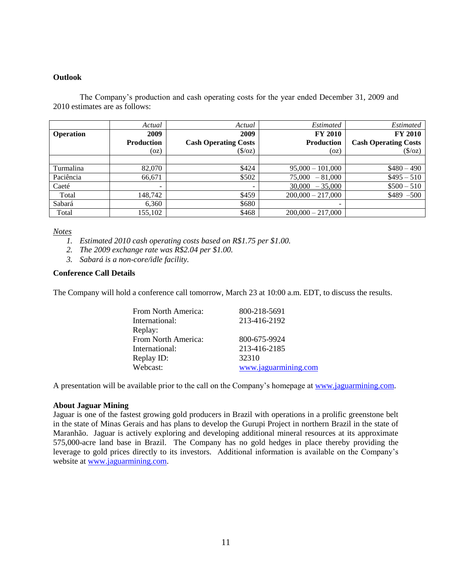### **Outlook**

The Company's production and cash operating costs for the year ended December 31, 2009 and 2010 estimates are as follows:

|                  | Actual                   | Actual                      | Estimated           | Estimated                   |
|------------------|--------------------------|-----------------------------|---------------------|-----------------------------|
| <b>Operation</b> | 2009                     | 2009                        | <b>FY 2010</b>      | <b>FY 2010</b>              |
|                  | <b>Production</b>        | <b>Cash Operating Costs</b> | <b>Production</b>   | <b>Cash Operating Costs</b> |
|                  | (oz)                     | $(\sqrt{$} / 0z)$           | (oz)                | $(\sqrt{$}$ /oz)            |
|                  |                          |                             |                     |                             |
| Turmalina        | 82,070                   | \$424                       | $95,000 - 101,000$  | $$480 - 490$                |
| Paciência        | 66,671                   | \$502                       | 75,000<br>$-81,000$ | $$495 - 510$                |
| Caeté            | $\overline{\phantom{a}}$ | $\overline{\phantom{a}}$    | 30,000<br>$-35,000$ | $$500 - 510$                |
| Total            | 148.742                  | \$459                       | $200.000 - 217.000$ | $$489 - 500$                |
| Sabará           | 6,360                    | \$680                       |                     |                             |
| Total            | 155,102                  | \$468                       | $200,000 - 217,000$ |                             |

*Notes*

- *1. Estimated 2010 cash operating costs based on R\$1.75 per \$1.00.*
- *2. The 2009 exchange rate was R\$2.04 per \$1.00.*
- *3. Sabará is a non-core/idle facility.*

### **Conference Call Details**

The Company will hold a conference call tomorrow, March 23 at 10:00 a.m. EDT, to discuss the results.

| From North America: | 800-218-5691         |
|---------------------|----------------------|
| International:      | 213-416-2192         |
| Replay:             |                      |
| From North America: | 800-675-9924         |
| International:      | 213-416-2185         |
| Replay ID:          | 32310                |
| Webcast:            | www.jaguarmining.com |
|                     |                      |

A presentation will be available prior to the call on the Company's homepage at [www.jaguarmining.com.](http://www.jaguarmining.com/)

### **About Jaguar Mining**

Jaguar is one of the fastest growing gold producers in Brazil with operations in a prolific greenstone belt in the state of Minas Gerais and has plans to develop the Gurupi Project in northern Brazil in the state of Maranhão. Jaguar is actively exploring and developing additional mineral resources at its approximate 575,000-acre land base in Brazil. The Company has no gold hedges in place thereby providing the leverage to gold prices directly to its investors. Additional information is available on the Company's website at [www.jaguarmining.com.](http://www.jaguarmining.com/)